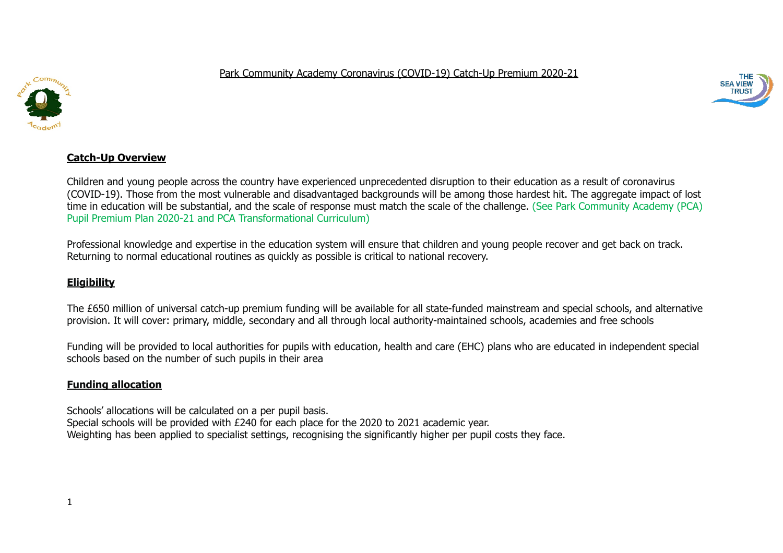

Park Community Academy Coronavirus (COVID-19) Catch-Up Premium 2020-21



# **Catch-Up Overview**

Children and young people across the country have experienced unprecedented disruption to their education as a result of coronavirus (COVID-19). Those from the most vulnerable and disadvantaged backgrounds will be among those hardest hit. The aggregate impact of lost time in education will be substantial, and the scale of response must match the scale of the challenge. (See Park Community Academy (PCA) Pupil Premium Plan 2020-21 and PCA Transformational Curriculum)

Professional knowledge and expertise in the education system will ensure that children and young people recover and get back on track. Returning to normal educational routines as quickly as possible is critical to national recovery.

# **Eligibility**

The £650 million of universal catch-up premium funding will be available for all state-funded mainstream and special schools, and alternative provision. It will cover: primary, middle, secondary and all through local authority-maintained schools, academies and free schools

Funding will be provided to local authorities for pupils with education, health and care (EHC) plans who are educated in independent special schools based on the number of such pupils in their area

#### **Funding allocation**

Schools' allocations will be calculated on a per pupil basis. Special schools will be provided with £240 for each place for the 2020 to 2021 academic year. Weighting has been applied to specialist settings, recognising the significantly higher per pupil costs they face.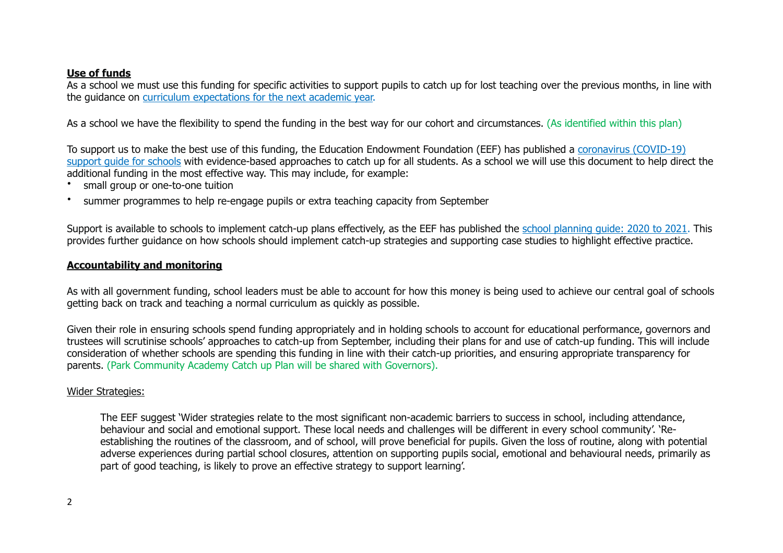#### **Use of funds**

As a school we must use this funding for specific activities to support pupils to catch up for lost teaching over the previous months, in line with the guidance on curriculum expectations for the next academic year.

As a school we have the flexibility to spend the funding in the best way for our cohort and circumstances. (As identified within this plan)

To support us to make the best use of this funding, the Education Endowment Foundation (EEF) has published a coronavirus (COVID-19) support quide for schools with evidence-based approaches to catch up for all students. As a school we will use this document to help direct the additional funding in the most effective way. This may include, for example:

- small group or one-to-one tuition
- summer programmes to help re-engage pupils or extra teaching capacity from September

Support is available to schools to implement catch-up plans effectively, as the EEF has published the school planning guide: 2020 to 2021. This provides further guidance on how schools should implement catch-up strategies and supporting case studies to highlight effective practice.

#### **Accountability and monitoring**

As with all government funding, school leaders must be able to account for how this money is being used to achieve our central goal of schools getting back on track and teaching a normal curriculum as quickly as possible.

Given their role in ensuring schools spend funding appropriately and in holding schools to account for educational performance, governors and trustees will scrutinise schools' approaches to catch-up from September, including their plans for and use of catch-up funding. This will include consideration of whether schools are spending this funding in line with their catch-up priorities, and ensuring appropriate transparency for parents. (Park Community Academy Catch up Plan will be shared with Governors).

# Wider Strategies:

The EEF suggest 'Wider strategies relate to the most significant non-academic barriers to success in school, including attendance, behaviour and social and emotional support. These local needs and challenges will be different in every school community'. 'Reestablishing the routines of the classroom, and of school, will prove beneficial for pupils. Given the loss of routine, along with potential adverse experiences during partial school closures, attention on supporting pupils social, emotional and behavioural needs, primarily as part of good teaching, is likely to prove an effective strategy to support learning'.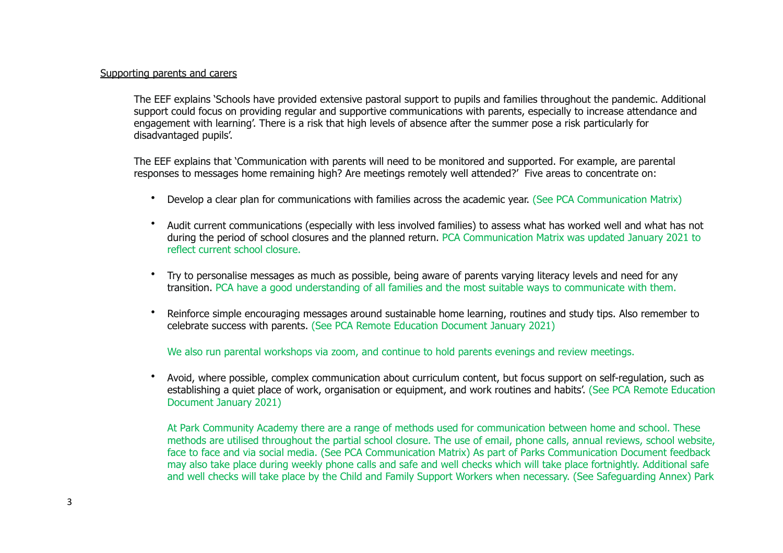#### Supporting parents and carers

The EEF explains 'Schools have provided extensive pastoral support to pupils and families throughout the pandemic. Additional support could focus on providing regular and supportive communications with parents, especially to increase attendance and engagement with learning'. There is a risk that high levels of absence after the summer pose a risk particularly for disadvantaged pupils'.

The EEF explains that 'Communication with parents will need to be monitored and supported. For example, are parental responses to messages home remaining high? Are meetings remotely well attended?' Five areas to concentrate on:

- Develop a clear plan for communications with families across the academic year. (See PCA Communication Matrix)
- Audit current communications (especially with less involved families) to assess what has worked well and what has not during the period of school closures and the planned return. PCA Communication Matrix was updated January 2021 to reflect current school closure.
- Try to personalise messages as much as possible, being aware of parents varying literacy levels and need for any transition. PCA have a good understanding of all families and the most suitable ways to communicate with them.
- Reinforce simple encouraging messages around sustainable home learning, routines and study tips. Also remember to celebrate success with parents. (See PCA Remote Education Document January 2021)

We also run parental workshops via zoom, and continue to hold parents evenings and review meetings.

• Avoid, where possible, complex communication about curriculum content, but focus support on self-regulation, such as establishing a quiet place of work, organisation or equipment, and work routines and habits'. (See PCA Remote Education Document January 2021)

At Park Community Academy there are a range of methods used for communication between home and school. These methods are utilised throughout the partial school closure. The use of email, phone calls, annual reviews, school website, face to face and via social media. (See PCA Communication Matrix) As part of Parks Communication Document feedback may also take place during weekly phone calls and safe and well checks which will take place fortnightly. Additional safe and well checks will take place by the Child and Family Support Workers when necessary. (See Safeguarding Annex) Park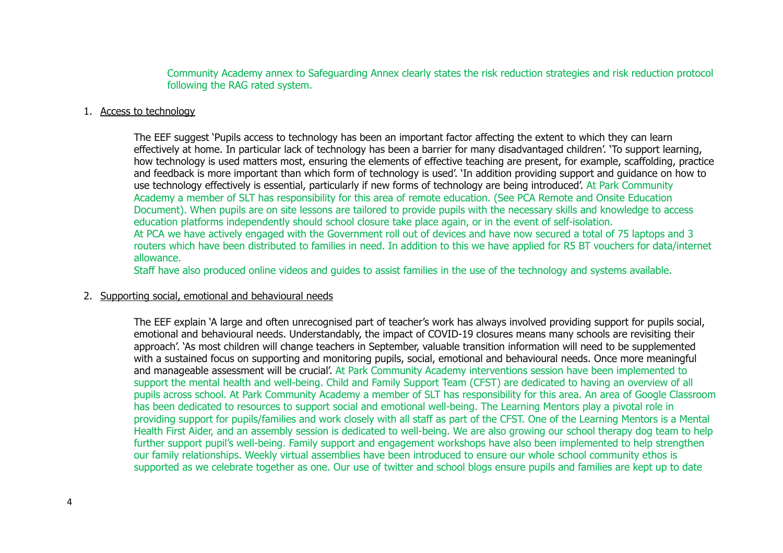Community Academy annex to Safeguarding Annex clearly states the risk reduction strategies and risk reduction protocol following the RAG rated system.

#### 1. Access to technology

The EEF suggest 'Pupils access to technology has been an important factor affecting the extent to which they can learn effectively at home. In particular lack of technology has been a barrier for many disadvantaged children'. 'To support learning, how technology is used matters most, ensuring the elements of effective teaching are present, for example, scaffolding, practice and feedback is more important than which form of technology is used'. 'In addition providing support and guidance on how to use technology effectively is essential, particularly if new forms of technology are being introduced'. At Park Community Academy a member of SLT has responsibility for this area of remote education. (See PCA Remote and Onsite Education Document). When pupils are on site lessons are tailored to provide pupils with the necessary skills and knowledge to access education platforms independently should school closure take place again, or in the event of self-isolation. At PCA we have actively engaged with the Government roll out of devices and have now secured a total of 75 laptops and 3 routers which have been distributed to families in need. In addition to this we have applied for R5 BT vouchers for data/internet allowance.

Staff have also produced online videos and guides to assist families in the use of the technology and systems available.

#### 2. Supporting social, emotional and behavioural needs

The EEF explain 'A large and often unrecognised part of teacher's work has always involved providing support for pupils social, emotional and behavioural needs. Understandably, the impact of COVID-19 closures means many schools are revisiting their approach'. 'As most children will change teachers in September, valuable transition information will need to be supplemented with a sustained focus on supporting and monitoring pupils, social, emotional and behavioural needs. Once more meaningful and manageable assessment will be crucial'. At Park Community Academy interventions session have been implemented to support the mental health and well-being. Child and Family Support Team (CFST) are dedicated to having an overview of all pupils across school. At Park Community Academy a member of SLT has responsibility for this area. An area of Google Classroom has been dedicated to resources to support social and emotional well-being. The Learning Mentors play a pivotal role in providing support for pupils/families and work closely with all staff as part of the CFST. One of the Learning Mentors is a Mental Health First Aider, and an assembly session is dedicated to well-being. We are also growing our school therapy dog team to help further support pupil's well-being. Family support and engagement workshops have also been implemented to help strengthen our family relationships. Weekly virtual assemblies have been introduced to ensure our whole school community ethos is supported as we celebrate together as one. Our use of twitter and school blogs ensure pupils and families are kept up to date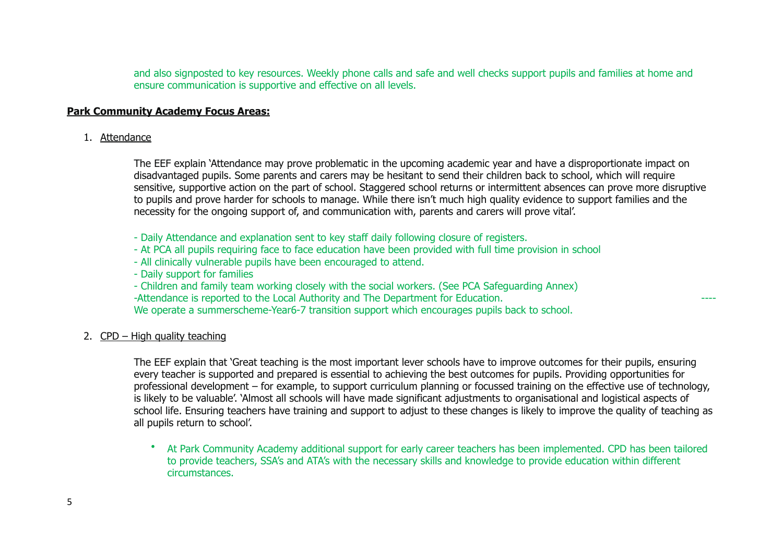and also signposted to key resources. Weekly phone calls and safe and well checks support pupils and families at home and ensure communication is supportive and effective on all levels.

# **Park Community Academy Focus Areas:**

#### 1. Attendance

The EEF explain 'Attendance may prove problematic in the upcoming academic year and have a disproportionate impact on disadvantaged pupils. Some parents and carers may be hesitant to send their children back to school, which will require sensitive, supportive action on the part of school. Staggered school returns or intermittent absences can prove more disruptive to pupils and prove harder for schools to manage. While there isn't much high quality evidence to support families and the necessity for the ongoing support of, and communication with, parents and carers will prove vital'.

- Daily Attendance and explanation sent to key staff daily following closure of registers.
- At PCA all pupils requiring face to face education have been provided with full time provision in school
- All clinically vulnerable pupils have been encouraged to attend.
- Daily support for families

- Children and family team working closely with the social workers. (See PCA Safeguarding Annex) -Attendance is reported to the Local Authority and The Department for Education.

We operate a summerscheme-Year6-7 transition support which encourages pupils back to school.

# 2. CPD – High quality teaching

The EEF explain that 'Great teaching is the most important lever schools have to improve outcomes for their pupils, ensuring every teacher is supported and prepared is essential to achieving the best outcomes for pupils. Providing opportunities for professional development – for example, to support curriculum planning or focussed training on the effective use of technology, is likely to be valuable'. 'Almost all schools will have made significant adjustments to organisational and logistical aspects of school life. Ensuring teachers have training and support to adjust to these changes is likely to improve the quality of teaching as all pupils return to school'.

• At Park Community Academy additional support for early career teachers has been implemented. CPD has been tailored to provide teachers, SSA's and ATA's with the necessary skills and knowledge to provide education within different circumstances.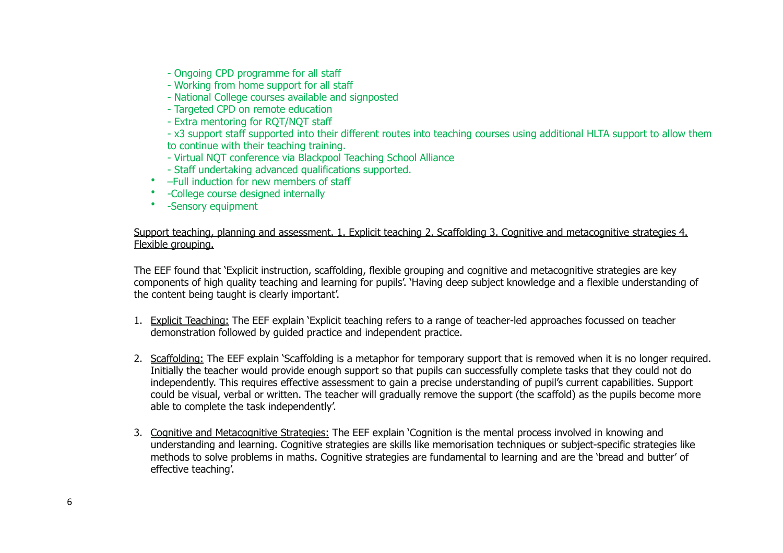- Ongoing CPD programme for all staff
- Working from home support for all staff
- National College courses available and signposted
- Targeted CPD on remote education
- Extra mentoring for RQT/NQT staff
- x3 support staff supported into their different routes into teaching courses using additional HLTA support to allow them to continue with their teaching training.
- Virtual NQT conference via Blackpool Teaching School Alliance
- Staff undertaking advanced qualifications supported.
- –Full induction for new members of staff
- -College course designed internally
- -Sensory equipment

Support teaching, planning and assessment. 1. Explicit teaching 2. Scaffolding 3. Cognitive and metacognitive strategies 4. Flexible grouping.

The EEF found that 'Explicit instruction, scaffolding, flexible grouping and cognitive and metacognitive strategies are key components of high quality teaching and learning for pupils'. 'Having deep subject knowledge and a flexible understanding of the content being taught is clearly important'.

- 1. Explicit Teaching: The EEF explain 'Explicit teaching refers to a range of teacher-led approaches focussed on teacher demonstration followed by guided practice and independent practice.
- 2. Scaffolding: The EEF explain 'Scaffolding is a metaphor for temporary support that is removed when it is no longer required. Initially the teacher would provide enough support so that pupils can successfully complete tasks that they could not do independently. This requires effective assessment to gain a precise understanding of pupil's current capabilities. Support could be visual, verbal or written. The teacher will gradually remove the support (the scaffold) as the pupils become more able to complete the task independently'.
- 3. Cognitive and Metacognitive Strategies: The EEF explain 'Cognition is the mental process involved in knowing and understanding and learning. Cognitive strategies are skills like memorisation techniques or subject-specific strategies like methods to solve problems in maths. Cognitive strategies are fundamental to learning and are the 'bread and butter' of effective teaching'.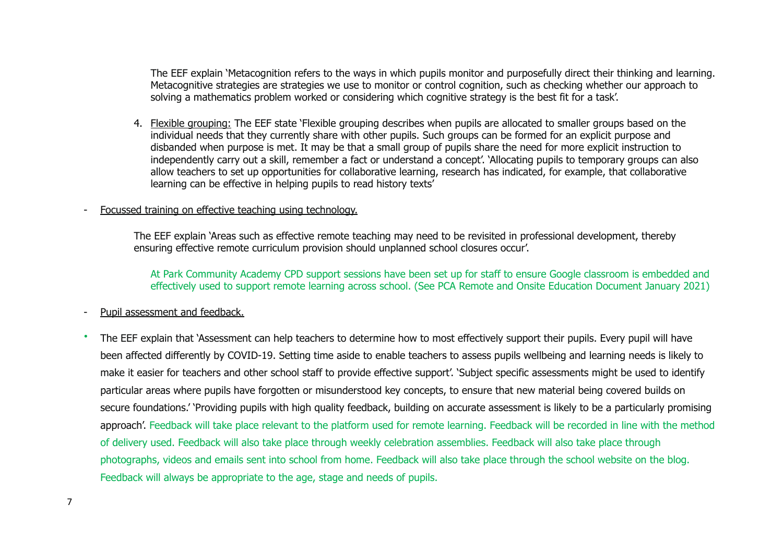The EEF explain 'Metacognition refers to the ways in which pupils monitor and purposefully direct their thinking and learning. Metacognitive strategies are strategies we use to monitor or control cognition, such as checking whether our approach to solving a mathematics problem worked or considering which cognitive strategy is the best fit for a task'.

4. Flexible grouping: The EEF state 'Flexible grouping describes when pupils are allocated to smaller groups based on the individual needs that they currently share with other pupils. Such groups can be formed for an explicit purpose and disbanded when purpose is met. It may be that a small group of pupils share the need for more explicit instruction to independently carry out a skill, remember a fact or understand a concept'. 'Allocating pupils to temporary groups can also allow teachers to set up opportunities for collaborative learning, research has indicated, for example, that collaborative learning can be effective in helping pupils to read history texts'

#### Focussed training on effective teaching using technology.

The EEF explain 'Areas such as effective remote teaching may need to be revisited in professional development, thereby ensuring effective remote curriculum provision should unplanned school closures occur'.

At Park Community Academy CPD support sessions have been set up for staff to ensure Google classroom is embedded and effectively used to support remote learning across school. (See PCA Remote and Onsite Education Document January 2021)

#### Pupil assessment and feedback.

• The EEF explain that 'Assessment can help teachers to determine how to most effectively support their pupils. Every pupil will have been affected differently by COVID-19. Setting time aside to enable teachers to assess pupils wellbeing and learning needs is likely to make it easier for teachers and other school staff to provide effective support'. 'Subject specific assessments might be used to identify particular areas where pupils have forgotten or misunderstood key concepts, to ensure that new material being covered builds on secure foundations.' 'Providing pupils with high quality feedback, building on accurate assessment is likely to be a particularly promising approach'. Feedback will take place relevant to the platform used for remote learning. Feedback will be recorded in line with the method of delivery used. Feedback will also take place through weekly celebration assemblies. Feedback will also take place through photographs, videos and emails sent into school from home. Feedback will also take place through the school website on the blog. Feedback will always be appropriate to the age, stage and needs of pupils.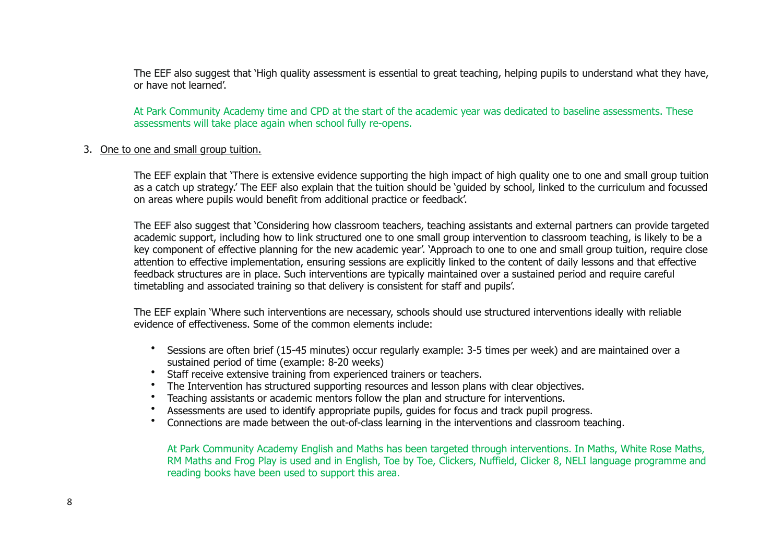The EEF also suggest that 'High quality assessment is essential to great teaching, helping pupils to understand what they have, or have not learned'.

At Park Community Academy time and CPD at the start of the academic year was dedicated to baseline assessments. These assessments will take place again when school fully re-opens.

#### 3. One to one and small group tuition.

The EEF explain that 'There is extensive evidence supporting the high impact of high quality one to one and small group tuition as a catch up strategy.' The EEF also explain that the tuition should be 'guided by school, linked to the curriculum and focussed on areas where pupils would benefit from additional practice or feedback'.

The EEF also suggest that 'Considering how classroom teachers, teaching assistants and external partners can provide targeted academic support, including how to link structured one to one small group intervention to classroom teaching, is likely to be a key component of effective planning for the new academic year'. 'Approach to one to one and small group tuition, require close attention to effective implementation, ensuring sessions are explicitly linked to the content of daily lessons and that effective feedback structures are in place. Such interventions are typically maintained over a sustained period and require careful timetabling and associated training so that delivery is consistent for staff and pupils'.

The EEF explain 'Where such interventions are necessary, schools should use structured interventions ideally with reliable evidence of effectiveness. Some of the common elements include:

- Sessions are often brief (15-45 minutes) occur regularly example: 3-5 times per week) and are maintained over a sustained period of time (example: 8-20 weeks)
- Staff receive extensive training from experienced trainers or teachers.
- The Intervention has structured supporting resources and lesson plans with clear objectives.
- Teaching assistants or academic mentors follow the plan and structure for interventions.
- Assessments are used to identify appropriate pupils, guides for focus and track pupil progress.
- Connections are made between the out-of-class learning in the interventions and classroom teaching.

At Park Community Academy English and Maths has been targeted through interventions. In Maths, White Rose Maths, RM Maths and Frog Play is used and in English, Toe by Toe, Clickers, Nuffield, Clicker 8, NELI language programme and reading books have been used to support this area.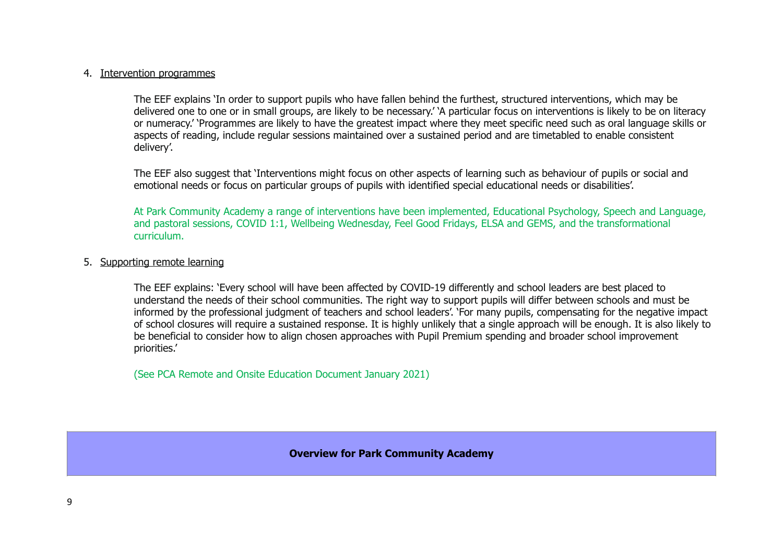#### 4. Intervention programmes

The EEF explains 'In order to support pupils who have fallen behind the furthest, structured interventions, which may be delivered one to one or in small groups, are likely to be necessary.' 'A particular focus on interventions is likely to be on literacy or numeracy.' 'Programmes are likely to have the greatest impact where they meet specific need such as oral language skills or aspects of reading, include regular sessions maintained over a sustained period and are timetabled to enable consistent delivery'.

The EEF also suggest that 'Interventions might focus on other aspects of learning such as behaviour of pupils or social and emotional needs or focus on particular groups of pupils with identified special educational needs or disabilities'.

At Park Community Academy a range of interventions have been implemented, Educational Psychology, Speech and Language, and pastoral sessions, COVID 1:1, Wellbeing Wednesday, Feel Good Fridays, ELSA and GEMS, and the transformational curriculum.

#### 5. Supporting remote learning

The EEF explains: 'Every school will have been affected by COVID-19 differently and school leaders are best placed to understand the needs of their school communities. The right way to support pupils will differ between schools and must be informed by the professional judgment of teachers and school leaders'. 'For many pupils, compensating for the negative impact of school closures will require a sustained response. It is highly unlikely that a single approach will be enough. It is also likely to be beneficial to consider how to align chosen approaches with Pupil Premium spending and broader school improvement priorities.'

(See PCA Remote and Onsite Education Document January 2021)

**Overview for Park Community Academy**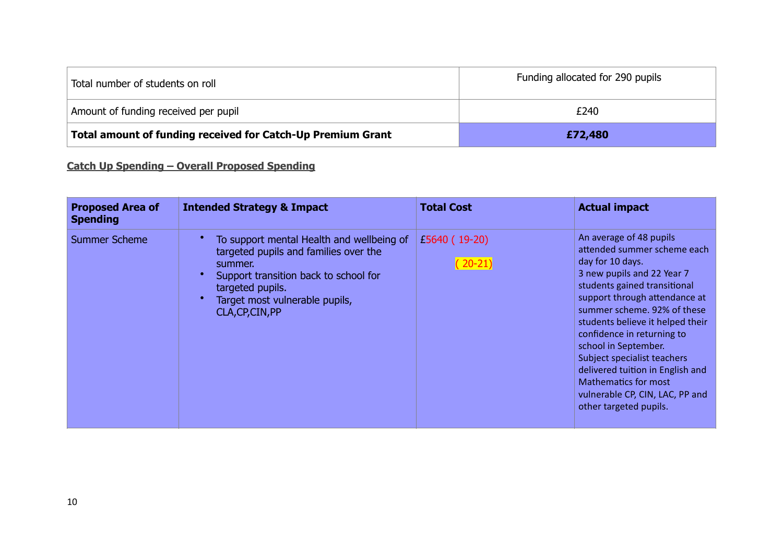| Total number of students on roll                            | Funding allocated for 290 pupils |
|-------------------------------------------------------------|----------------------------------|
| Amount of funding received per pupil                        | £240                             |
| Total amount of funding received for Catch-Up Premium Grant | £72,480                          |

# **Catch Up Spending – Overall Proposed Spending**

| <b>Proposed Area of</b><br><b>Spending</b> | <b>Intended Strategy &amp; Impact</b>                                                                                                                                                                            | <b>Total Cost</b>        | <b>Actual impact</b>                                                                                                                                                                                                                                                                                                                                                                                                                                              |
|--------------------------------------------|------------------------------------------------------------------------------------------------------------------------------------------------------------------------------------------------------------------|--------------------------|-------------------------------------------------------------------------------------------------------------------------------------------------------------------------------------------------------------------------------------------------------------------------------------------------------------------------------------------------------------------------------------------------------------------------------------------------------------------|
| <b>Summer Scheme</b>                       | To support mental Health and wellbeing of<br>targeted pupils and families over the<br>summer.<br>Support transition back to school for<br>targeted pupils.<br>Target most vulnerable pupils,<br>CLA, CP, CIN, PP | £5640 (19-20)<br>$20-21$ | An average of 48 pupils<br>attended summer scheme each<br>day for 10 days.<br>3 new pupils and 22 Year 7<br>students gained transitional<br>support through attendance at<br>summer scheme. 92% of these<br>students believe it helped their<br>confidence in returning to<br>school in September.<br>Subject specialist teachers<br>delivered tuition in English and<br><b>Mathematics for most</b><br>vulnerable CP, CIN, LAC, PP and<br>other targeted pupils. |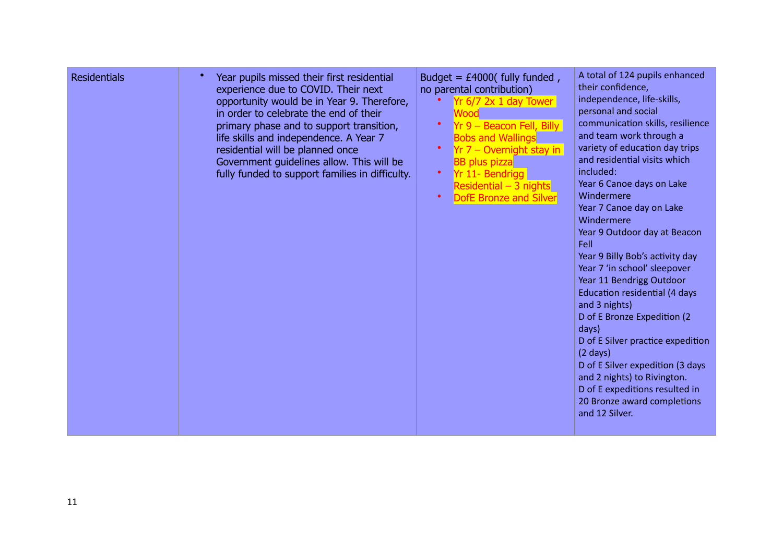| <b>Residentials</b> | Year pupils missed their first residential<br>experience due to COVID. Their next<br>opportunity would be in Year 9. Therefore,<br>in order to celebrate the end of their<br>primary phase and to support transition,<br>life skills and independence. A Year 7<br>residential will be planned once<br>Government guidelines allow. This will be<br>fully funded to support families in difficulty. | Budget = $£4000$ ( fully funded,<br>no parental contribution)<br>Yr 6/7 2x 1 day Tower<br>Wood<br>$\bullet$<br>$Yr$ 9 – Beacon Fell, Billy<br><b>Bobs and Wallings</b><br>$Yr$ 7 – Overnight stay in<br>$\bullet$<br><b>BB</b> plus pizza<br>Yr 11- Bendrigg<br>$\bullet$<br>Residential $-3$ nights<br>$\bullet$<br><b>DofE Bronze and Silver</b> | A total of 124 pupils enhanced<br>their confidence,<br>independence, life-skills,<br>personal and social<br>communication skills, resilience<br>and team work through a<br>variety of education day trips<br>and residential visits which<br>included:<br>Year 6 Canoe days on Lake<br>Windermere<br>Year 7 Canoe day on Lake<br>Windermere<br>Year 9 Outdoor day at Beacon<br>Fell<br>Year 9 Billy Bob's activity day<br>Year 7 'in school' sleepover<br>Year 11 Bendrigg Outdoor<br><b>Education residential (4 days</b><br>and 3 nights)<br>D of E Bronze Expedition (2)<br>days)<br>D of E Silver practice expedition<br>$(2 \text{ days})$<br>D of E Silver expedition (3 days<br>and 2 nights) to Rivington.<br>D of E expeditions resulted in<br>20 Bronze award completions<br>and 12 Silver. |
|---------------------|-----------------------------------------------------------------------------------------------------------------------------------------------------------------------------------------------------------------------------------------------------------------------------------------------------------------------------------------------------------------------------------------------------|----------------------------------------------------------------------------------------------------------------------------------------------------------------------------------------------------------------------------------------------------------------------------------------------------------------------------------------------------|-------------------------------------------------------------------------------------------------------------------------------------------------------------------------------------------------------------------------------------------------------------------------------------------------------------------------------------------------------------------------------------------------------------------------------------------------------------------------------------------------------------------------------------------------------------------------------------------------------------------------------------------------------------------------------------------------------------------------------------------------------------------------------------------------------|
|---------------------|-----------------------------------------------------------------------------------------------------------------------------------------------------------------------------------------------------------------------------------------------------------------------------------------------------------------------------------------------------------------------------------------------------|----------------------------------------------------------------------------------------------------------------------------------------------------------------------------------------------------------------------------------------------------------------------------------------------------------------------------------------------------|-------------------------------------------------------------------------------------------------------------------------------------------------------------------------------------------------------------------------------------------------------------------------------------------------------------------------------------------------------------------------------------------------------------------------------------------------------------------------------------------------------------------------------------------------------------------------------------------------------------------------------------------------------------------------------------------------------------------------------------------------------------------------------------------------------|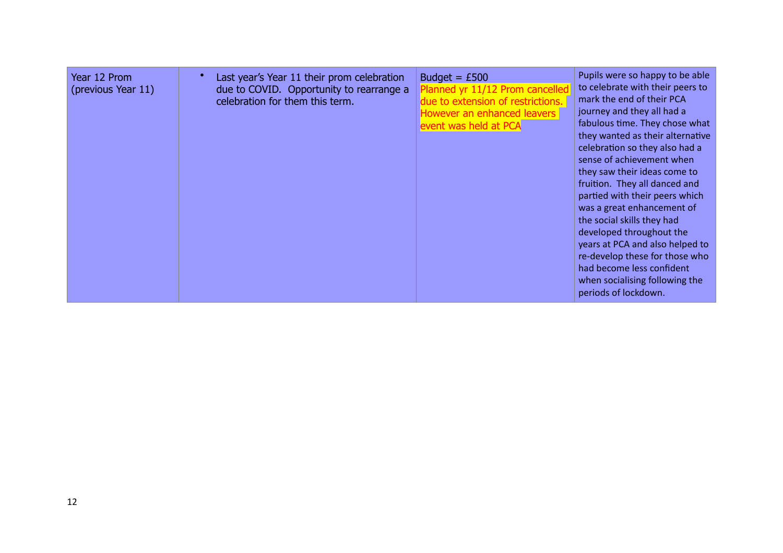| Year 12 Prom<br>(previous Year 11) | Last year's Year 11 their prom celebration<br>due to COVID. Opportunity to rearrange a<br>celebration for them this term. | Budget = $£500$<br>Planned yr 11/12 Prom cancelled<br>due to extension of restrictions.<br><b>However an enhanced leavers</b><br>event was held at PCA | Pupils were so happy to be able<br>to celebrate with their peers to<br>mark the end of their PCA<br>journey and they all had a<br>fabulous time. They chose what<br>they wanted as their alternative<br>celebration so they also had a<br>sense of achievement when<br>they saw their ideas come to<br>fruition. They all danced and<br>partied with their peers which<br>was a great enhancement of<br>the social skills they had<br>developed throughout the<br>years at PCA and also helped to<br>re-develop these for those who<br>had become less confident<br>when socialising following the<br>periods of lockdown. |
|------------------------------------|---------------------------------------------------------------------------------------------------------------------------|--------------------------------------------------------------------------------------------------------------------------------------------------------|----------------------------------------------------------------------------------------------------------------------------------------------------------------------------------------------------------------------------------------------------------------------------------------------------------------------------------------------------------------------------------------------------------------------------------------------------------------------------------------------------------------------------------------------------------------------------------------------------------------------------|
|------------------------------------|---------------------------------------------------------------------------------------------------------------------------|--------------------------------------------------------------------------------------------------------------------------------------------------------|----------------------------------------------------------------------------------------------------------------------------------------------------------------------------------------------------------------------------------------------------------------------------------------------------------------------------------------------------------------------------------------------------------------------------------------------------------------------------------------------------------------------------------------------------------------------------------------------------------------------------|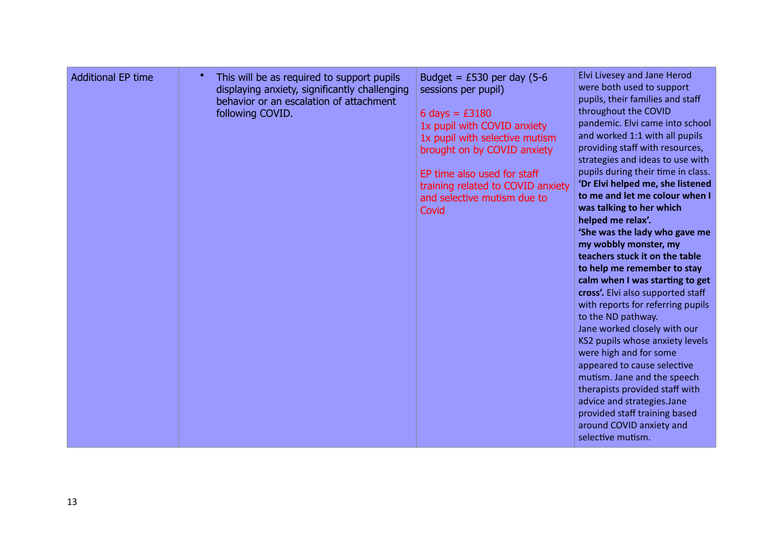| <b>Additional EP time</b> | This will be as required to support pupils<br>displaying anxiety, significantly challenging<br>behavior or an escalation of attachment<br>following COVID. | Budget = $£530$ per day (5-6<br>sessions per pupil)<br>6 days = $£3180$<br>1x pupil with COVID anxiety<br>1x pupil with selective mutism<br>brought on by COVID anxiety<br>EP time also used for staff<br>training related to COVID anxiety<br>and selective mutism due to<br>Covid | Elvi Livesey and Jane Herod<br>were both used to support<br>pupils, their families and staff<br>throughout the COVID<br>pandemic. Elvi came into school<br>and worked 1:1 with all pupils<br>providing staff with resources,<br>strategies and ideas to use with<br>pupils during their time in class.<br>'Dr Elvi helped me, she listened<br>to me and let me colour when I<br>was talking to her which<br>helped me relax'.<br>'She was the lady who gave me<br>my wobbly monster, my<br>teachers stuck it on the table<br>to help me remember to stay<br>calm when I was starting to get<br>cross'. Elvi also supported staff<br>with reports for referring pupils<br>to the ND pathway.<br>Jane worked closely with our<br>KS2 pupils whose anxiety levels<br>were high and for some<br>appeared to cause selective<br>mutism. Jane and the speech<br>therapists provided staff with<br>advice and strategies.Jane<br>provided staff training based<br>around COVID anxiety and<br>selective mutism. |
|---------------------------|------------------------------------------------------------------------------------------------------------------------------------------------------------|-------------------------------------------------------------------------------------------------------------------------------------------------------------------------------------------------------------------------------------------------------------------------------------|----------------------------------------------------------------------------------------------------------------------------------------------------------------------------------------------------------------------------------------------------------------------------------------------------------------------------------------------------------------------------------------------------------------------------------------------------------------------------------------------------------------------------------------------------------------------------------------------------------------------------------------------------------------------------------------------------------------------------------------------------------------------------------------------------------------------------------------------------------------------------------------------------------------------------------------------------------------------------------------------------------|
|---------------------------|------------------------------------------------------------------------------------------------------------------------------------------------------------|-------------------------------------------------------------------------------------------------------------------------------------------------------------------------------------------------------------------------------------------------------------------------------------|----------------------------------------------------------------------------------------------------------------------------------------------------------------------------------------------------------------------------------------------------------------------------------------------------------------------------------------------------------------------------------------------------------------------------------------------------------------------------------------------------------------------------------------------------------------------------------------------------------------------------------------------------------------------------------------------------------------------------------------------------------------------------------------------------------------------------------------------------------------------------------------------------------------------------------------------------------------------------------------------------------|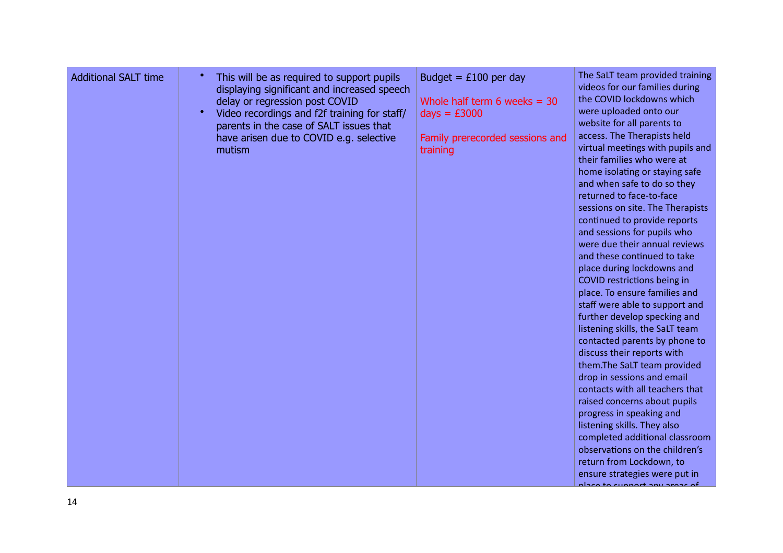| <b>Additional SALT time</b> | This will be as required to support pupils<br>displaying significant and increased speech<br>delay or regression post COVID<br>$\bullet$<br>Video recordings and f2f training for staff/<br>parents in the case of SALT issues that<br>have arisen due to COVID e.g. selective<br>mutism | Budget = $£100$ per day<br>Whole half term 6 weeks $=$ 30<br>$days = £3000$<br>Family prerecorded sessions and<br>training | The SaLT team provided training<br>videos for our families during<br>the COVID lockdowns which<br>were uploaded onto our<br>website for all parents to<br>access. The Therapists held<br>virtual meetings with pupils and<br>their families who were at<br>home isolating or staying safe<br>and when safe to do so they<br>returned to face-to-face<br>sessions on site. The Therapists<br>continued to provide reports<br>and sessions for pupils who<br>were due their annual reviews<br>and these continued to take<br>place during lockdowns and<br>COVID restrictions being in<br>place. To ensure families and<br>staff were able to support and<br>further develop specking and<br>listening skills, the SaLT team<br>contacted parents by phone to<br>discuss their reports with<br>them.The SaLT team provided<br>drop in sessions and email<br>contacts with all teachers that<br>raised concerns about pupils<br>progress in speaking and<br>listening skills. They also<br>completed additional classroom<br>observations on the children's<br>return from Lockdown, to<br>ensure strategies were put in<br>place to cunnart any arose of |
|-----------------------------|------------------------------------------------------------------------------------------------------------------------------------------------------------------------------------------------------------------------------------------------------------------------------------------|----------------------------------------------------------------------------------------------------------------------------|--------------------------------------------------------------------------------------------------------------------------------------------------------------------------------------------------------------------------------------------------------------------------------------------------------------------------------------------------------------------------------------------------------------------------------------------------------------------------------------------------------------------------------------------------------------------------------------------------------------------------------------------------------------------------------------------------------------------------------------------------------------------------------------------------------------------------------------------------------------------------------------------------------------------------------------------------------------------------------------------------------------------------------------------------------------------------------------------------------------------------------------------------------|
|-----------------------------|------------------------------------------------------------------------------------------------------------------------------------------------------------------------------------------------------------------------------------------------------------------------------------------|----------------------------------------------------------------------------------------------------------------------------|--------------------------------------------------------------------------------------------------------------------------------------------------------------------------------------------------------------------------------------------------------------------------------------------------------------------------------------------------------------------------------------------------------------------------------------------------------------------------------------------------------------------------------------------------------------------------------------------------------------------------------------------------------------------------------------------------------------------------------------------------------------------------------------------------------------------------------------------------------------------------------------------------------------------------------------------------------------------------------------------------------------------------------------------------------------------------------------------------------------------------------------------------------|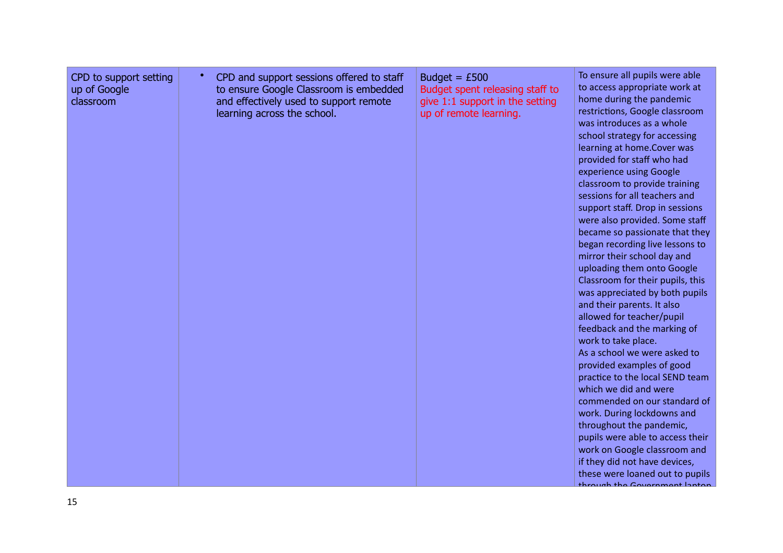| CPD to support setting<br>up of Google<br>classroom | $\bullet$<br>CPD and support sessions offered to staff<br>to ensure Google Classroom is embedded<br>and effectively used to support remote<br>learning across the school. | Budget = $£500$<br>Budget spent releasing staff to<br>give 1:1 support in the setting<br>up of remote learning. | To ensure all pupils were able<br>to access appropriate work at<br>home during the pandemic<br>restrictions, Google classroom<br>was introduces as a whole<br>school strategy for accessing<br>learning at home.Cover was<br>provided for staff who had<br>experience using Google<br>classroom to provide training<br>sessions for all teachers and<br>support staff. Drop in sessions<br>were also provided. Some staff<br>became so passionate that they<br>began recording live lessons to<br>mirror their school day and<br>uploading them onto Google<br>Classroom for their pupils, this<br>was appreciated by both pupils<br>and their parents. It also<br>allowed for teacher/pupil<br>feedback and the marking of<br>work to take place.<br>As a school we were asked to<br>provided examples of good<br>practice to the local SEND team<br>which we did and were<br>commended on our standard of<br>work. During lockdowns and<br>throughout the pandemic,<br>pupils were able to access their<br>work on Google classroom and<br>if they did not have devices,<br>these were loaned out to pupils<br>through the Covernment Insten |
|-----------------------------------------------------|---------------------------------------------------------------------------------------------------------------------------------------------------------------------------|-----------------------------------------------------------------------------------------------------------------|------------------------------------------------------------------------------------------------------------------------------------------------------------------------------------------------------------------------------------------------------------------------------------------------------------------------------------------------------------------------------------------------------------------------------------------------------------------------------------------------------------------------------------------------------------------------------------------------------------------------------------------------------------------------------------------------------------------------------------------------------------------------------------------------------------------------------------------------------------------------------------------------------------------------------------------------------------------------------------------------------------------------------------------------------------------------------------------------------------------------------------------------|
|-----------------------------------------------------|---------------------------------------------------------------------------------------------------------------------------------------------------------------------------|-----------------------------------------------------------------------------------------------------------------|------------------------------------------------------------------------------------------------------------------------------------------------------------------------------------------------------------------------------------------------------------------------------------------------------------------------------------------------------------------------------------------------------------------------------------------------------------------------------------------------------------------------------------------------------------------------------------------------------------------------------------------------------------------------------------------------------------------------------------------------------------------------------------------------------------------------------------------------------------------------------------------------------------------------------------------------------------------------------------------------------------------------------------------------------------------------------------------------------------------------------------------------|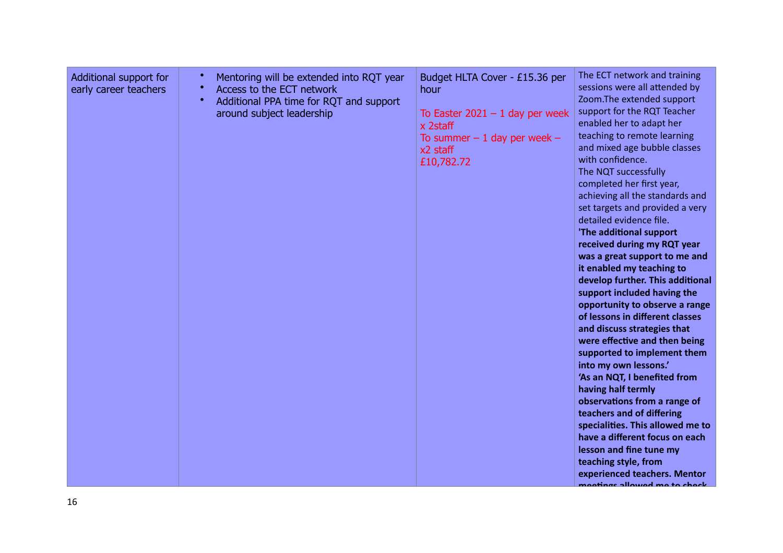| Additional support for<br>early career teachers | $\bullet$<br>Mentoring will be extended into RQT year<br>$\bullet$<br>Access to the ECT network<br>$\bullet$<br>Additional PPA time for RQT and support<br>around subject leadership | Budget HLTA Cover - £15.36 per<br>hour<br>To Easter $2021 - 1$ day per week<br>x 2staff<br>To summer $-1$ day per week $-$<br>$x2$ staff<br>£10,782.72 | The ECT network and training<br>sessions were all attended by<br>Zoom.The extended support<br>support for the RQT Teacher<br>enabled her to adapt her<br>teaching to remote learning<br>and mixed age bubble classes<br>with confidence.<br>The NQT successfully<br>completed her first year,<br>achieving all the standards and<br>set targets and provided a very<br>detailed evidence file.<br>'The additional support<br>received during my RQT year<br>was a great support to me and<br>it enabled my teaching to<br>develop further. This additional<br>support included having the<br>opportunity to observe a range<br>of lessons in different classes<br>and discuss strategies that<br>were effective and then being<br>supported to implement them<br>into my own lessons.'<br>'As an NQT, I benefited from<br>having half termly<br>observations from a range of<br>teachers and of differing<br>specialities. This allowed me to<br>have a different focus on each<br>lesson and fine tune my<br>teaching style, from<br>experienced teachers. Mentor<br>ngatingg allawad ma ta chaok. |
|-------------------------------------------------|--------------------------------------------------------------------------------------------------------------------------------------------------------------------------------------|--------------------------------------------------------------------------------------------------------------------------------------------------------|-----------------------------------------------------------------------------------------------------------------------------------------------------------------------------------------------------------------------------------------------------------------------------------------------------------------------------------------------------------------------------------------------------------------------------------------------------------------------------------------------------------------------------------------------------------------------------------------------------------------------------------------------------------------------------------------------------------------------------------------------------------------------------------------------------------------------------------------------------------------------------------------------------------------------------------------------------------------------------------------------------------------------------------------------------------------------------------------------------|
|-------------------------------------------------|--------------------------------------------------------------------------------------------------------------------------------------------------------------------------------------|--------------------------------------------------------------------------------------------------------------------------------------------------------|-----------------------------------------------------------------------------------------------------------------------------------------------------------------------------------------------------------------------------------------------------------------------------------------------------------------------------------------------------------------------------------------------------------------------------------------------------------------------------------------------------------------------------------------------------------------------------------------------------------------------------------------------------------------------------------------------------------------------------------------------------------------------------------------------------------------------------------------------------------------------------------------------------------------------------------------------------------------------------------------------------------------------------------------------------------------------------------------------------|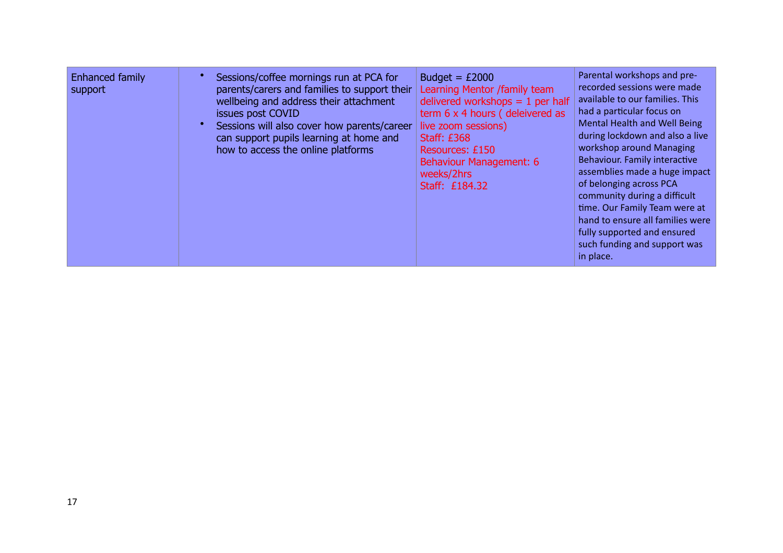| Enhanced family<br>support | Sessions/coffee mornings run at PCA for<br>parents/carers and families to support their<br>wellbeing and address their attachment<br>issues post COVID<br>Sessions will also cover how parents/career<br>can support pupils learning at home and<br>how to access the online platforms | Budget = $£2000$<br>Learning Mentor /family team<br>delivered workshops $= 1$ per half<br>term 6 x 4 hours (deleivered as<br>live zoom sessions)<br><b>Staff: £368</b><br>Resources: £150<br>Behaviour Management: 6<br>weeks/2hrs<br>Staff: £184.32 | Parental workshops and pre-<br>recorded sessions were made<br>available to our families. This<br>had a particular focus on<br><b>Mental Health and Well Being</b><br>during lockdown and also a live<br>workshop around Managing<br><b>Behaviour. Family interactive</b><br>assemblies made a huge impact<br>of belonging across PCA<br>community during a difficult<br>time. Our Family Team were at<br>hand to ensure all families were<br>fully supported and ensured<br>such funding and support was<br>in place. |
|----------------------------|----------------------------------------------------------------------------------------------------------------------------------------------------------------------------------------------------------------------------------------------------------------------------------------|------------------------------------------------------------------------------------------------------------------------------------------------------------------------------------------------------------------------------------------------------|-----------------------------------------------------------------------------------------------------------------------------------------------------------------------------------------------------------------------------------------------------------------------------------------------------------------------------------------------------------------------------------------------------------------------------------------------------------------------------------------------------------------------|
|----------------------------|----------------------------------------------------------------------------------------------------------------------------------------------------------------------------------------------------------------------------------------------------------------------------------------|------------------------------------------------------------------------------------------------------------------------------------------------------------------------------------------------------------------------------------------------------|-----------------------------------------------------------------------------------------------------------------------------------------------------------------------------------------------------------------------------------------------------------------------------------------------------------------------------------------------------------------------------------------------------------------------------------------------------------------------------------------------------------------------|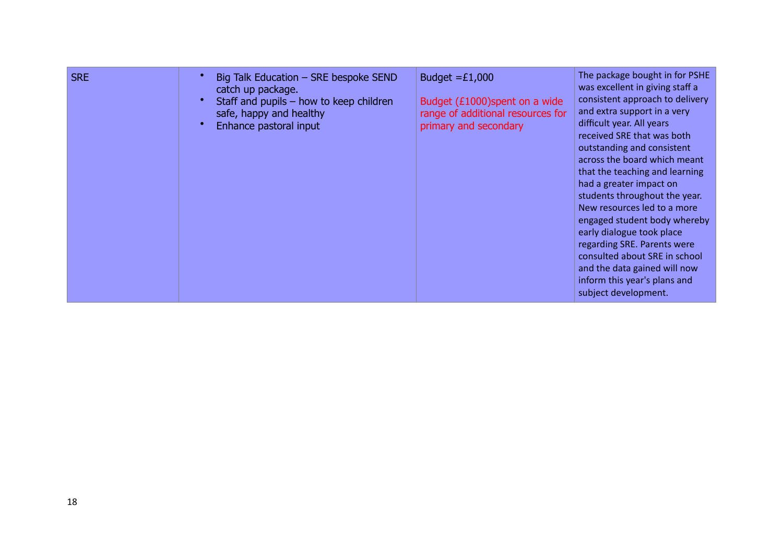| <b>SRE</b> | Big Talk Education – SRE bespoke SEND<br>catch up package.<br>Staff and pupils $-$ how to keep children<br>safe, happy and healthy<br>Enhance pastoral input | Budget $=£1,000$<br>Budget (£1000) spent on a wide<br>range of additional resources for<br>primary and secondary | The package bought in for PSHE<br>was excellent in giving staff a<br>consistent approach to delivery<br>and extra support in a very<br>difficult year. All years<br>received SRE that was both<br>outstanding and consistent<br>across the board which meant<br>that the teaching and learning<br>had a greater impact on<br>students throughout the year.<br>New resources led to a more<br>engaged student body whereby<br>early dialogue took place<br>regarding SRE. Parents were<br>consulted about SRE in school<br>and the data gained will now<br>inform this year's plans and<br>subject development. |
|------------|--------------------------------------------------------------------------------------------------------------------------------------------------------------|------------------------------------------------------------------------------------------------------------------|----------------------------------------------------------------------------------------------------------------------------------------------------------------------------------------------------------------------------------------------------------------------------------------------------------------------------------------------------------------------------------------------------------------------------------------------------------------------------------------------------------------------------------------------------------------------------------------------------------------|
|------------|--------------------------------------------------------------------------------------------------------------------------------------------------------------|------------------------------------------------------------------------------------------------------------------|----------------------------------------------------------------------------------------------------------------------------------------------------------------------------------------------------------------------------------------------------------------------------------------------------------------------------------------------------------------------------------------------------------------------------------------------------------------------------------------------------------------------------------------------------------------------------------------------------------------|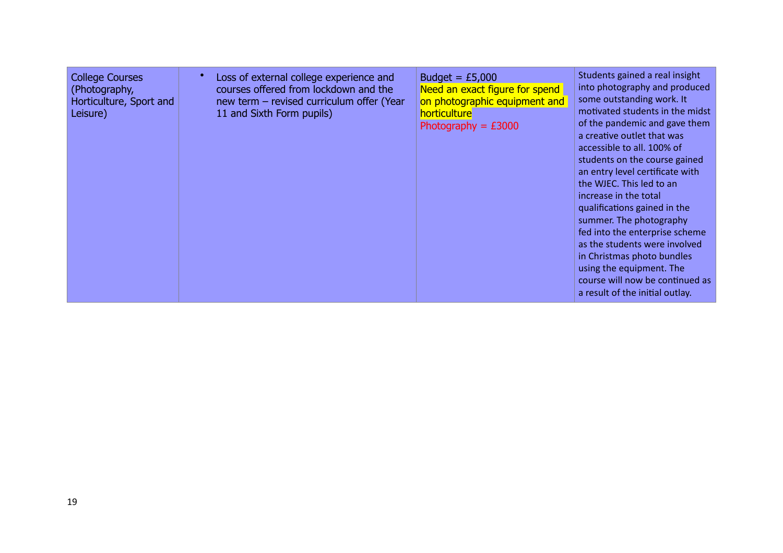| <b>College Courses</b><br>(Photography,<br>Horticulture, Sport and<br>Leisure) | Loss of external college experience and<br>courses offered from lockdown and the<br>new term - revised curriculum offer (Year<br>11 and Sixth Form pupils) | Budget = $£5,000$<br>Need an exact figure for spend<br>on photographic equipment and<br>horticulture<br>Photography = $£3000$ | Students gained a real insight<br>into photography and produced<br>some outstanding work. It<br>motivated students in the midst<br>of the pandemic and gave them<br>a creative outlet that was<br>accessible to all. 100% of<br>students on the course gained<br>an entry level certificate with<br>the WJEC. This led to an<br>increase in the total<br>qualifications gained in the<br>summer. The photography<br>fed into the enterprise scheme<br>as the students were involved<br>in Christmas photo bundles<br>using the equipment. The<br>course will now be continued as<br>a result of the initial outlay. |
|--------------------------------------------------------------------------------|------------------------------------------------------------------------------------------------------------------------------------------------------------|-------------------------------------------------------------------------------------------------------------------------------|---------------------------------------------------------------------------------------------------------------------------------------------------------------------------------------------------------------------------------------------------------------------------------------------------------------------------------------------------------------------------------------------------------------------------------------------------------------------------------------------------------------------------------------------------------------------------------------------------------------------|
|--------------------------------------------------------------------------------|------------------------------------------------------------------------------------------------------------------------------------------------------------|-------------------------------------------------------------------------------------------------------------------------------|---------------------------------------------------------------------------------------------------------------------------------------------------------------------------------------------------------------------------------------------------------------------------------------------------------------------------------------------------------------------------------------------------------------------------------------------------------------------------------------------------------------------------------------------------------------------------------------------------------------------|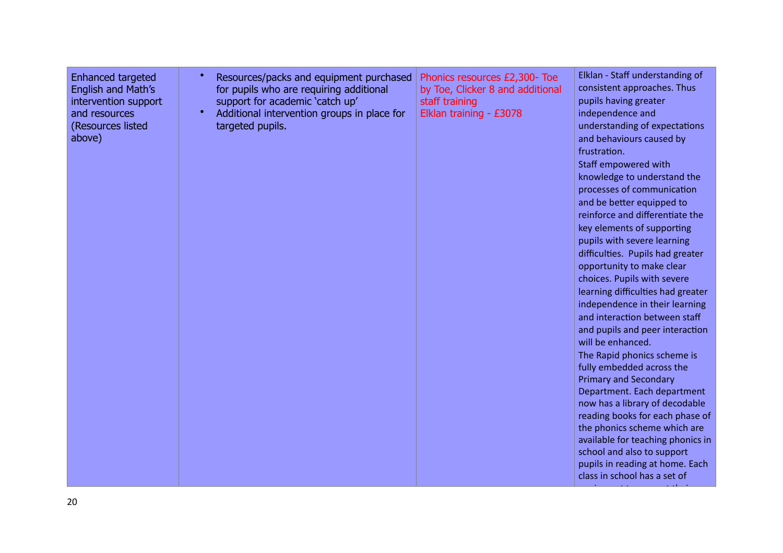| <b>Enhanced targeted</b><br>English and Math's<br>intervention support<br>and resources<br>(Resources listed<br>above) | Resources/packs and equipment purchased<br>for pupils who are requiring additional<br>support for academic 'catch up'<br>Additional intervention groups in place for<br>targeted pupils. | Phonics resources £2,300- Toe<br>by Toe, Clicker 8 and additional<br>staff training<br>Elklan training - £3078 | Elklan - Staff understanding of<br>consistent approaches. Thus<br>pupils having greater<br>independence and<br>understanding of expectations<br>and behaviours caused by<br>frustration.<br>Staff empowered with<br>knowledge to understand the<br>processes of communication<br>and be better equipped to<br>reinforce and differentiate the<br>key elements of supporting<br>pupils with severe learning<br>difficulties. Pupils had greater<br>opportunity to make clear<br>choices. Pupils with severe<br>learning difficulties had greater<br>independence in their learning<br>and interaction between staff<br>and pupils and peer interaction<br>will be enhanced.<br>The Rapid phonics scheme is<br>fully embedded across the<br><b>Primary and Secondary</b><br>Department. Each department<br>now has a library of decodable<br>reading books for each phase of<br>the phonics scheme which are<br>available for teaching phonics in<br>school and also to support |
|------------------------------------------------------------------------------------------------------------------------|------------------------------------------------------------------------------------------------------------------------------------------------------------------------------------------|----------------------------------------------------------------------------------------------------------------|-------------------------------------------------------------------------------------------------------------------------------------------------------------------------------------------------------------------------------------------------------------------------------------------------------------------------------------------------------------------------------------------------------------------------------------------------------------------------------------------------------------------------------------------------------------------------------------------------------------------------------------------------------------------------------------------------------------------------------------------------------------------------------------------------------------------------------------------------------------------------------------------------------------------------------------------------------------------------------|
|------------------------------------------------------------------------------------------------------------------------|------------------------------------------------------------------------------------------------------------------------------------------------------------------------------------------|----------------------------------------------------------------------------------------------------------------|-------------------------------------------------------------------------------------------------------------------------------------------------------------------------------------------------------------------------------------------------------------------------------------------------------------------------------------------------------------------------------------------------------------------------------------------------------------------------------------------------------------------------------------------------------------------------------------------------------------------------------------------------------------------------------------------------------------------------------------------------------------------------------------------------------------------------------------------------------------------------------------------------------------------------------------------------------------------------------|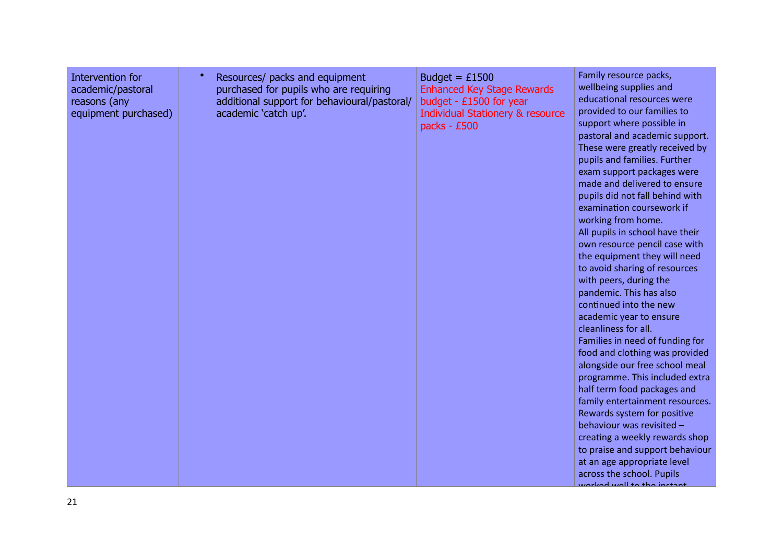| Intervention for<br>academic/pastoral<br>reasons (any<br>equipment purchased) | Resources/ packs and equipment<br>purchased for pupils who are requiring<br>additional support for behavioural/pastoral/<br>academic 'catch up'. | Budget = $£1500$<br><b>Enhanced Key Stage Rewards</b><br>budget - £1500 for year<br><b>Individual Stationery &amp; resource</b><br>packs - £500 | Family resource packs,<br>wellbeing supplies and<br>educational resources were<br>provided to our families to<br>support where possible in<br>pastoral and academic support.<br>These were greatly received by<br>pupils and families. Further<br>exam support packages were<br>made and delivered to ensure<br>pupils did not fall behind with<br>examination coursework if<br>working from home.<br>All pupils in school have their<br>own resource pencil case with<br>the equipment they will need<br>to avoid sharing of resources<br>with peers, during the<br>pandemic. This has also<br>continued into the new<br>academic year to ensure<br>cleanliness for all.<br>Families in need of funding for<br>food and clothing was provided<br>alongside our free school meal<br>programme. This included extra<br>half term food packages and<br>family entertainment resources.<br>Rewards system for positive<br>behaviour was revisited -<br>creating a weekly rewards shop<br>to praise and support behaviour<br>at an age appropriate level<br>across the school. Pupils<br>unrhad wall to the inctant |
|-------------------------------------------------------------------------------|--------------------------------------------------------------------------------------------------------------------------------------------------|-------------------------------------------------------------------------------------------------------------------------------------------------|-----------------------------------------------------------------------------------------------------------------------------------------------------------------------------------------------------------------------------------------------------------------------------------------------------------------------------------------------------------------------------------------------------------------------------------------------------------------------------------------------------------------------------------------------------------------------------------------------------------------------------------------------------------------------------------------------------------------------------------------------------------------------------------------------------------------------------------------------------------------------------------------------------------------------------------------------------------------------------------------------------------------------------------------------------------------------------------------------------------------|
|-------------------------------------------------------------------------------|--------------------------------------------------------------------------------------------------------------------------------------------------|-------------------------------------------------------------------------------------------------------------------------------------------------|-----------------------------------------------------------------------------------------------------------------------------------------------------------------------------------------------------------------------------------------------------------------------------------------------------------------------------------------------------------------------------------------------------------------------------------------------------------------------------------------------------------------------------------------------------------------------------------------------------------------------------------------------------------------------------------------------------------------------------------------------------------------------------------------------------------------------------------------------------------------------------------------------------------------------------------------------------------------------------------------------------------------------------------------------------------------------------------------------------------------|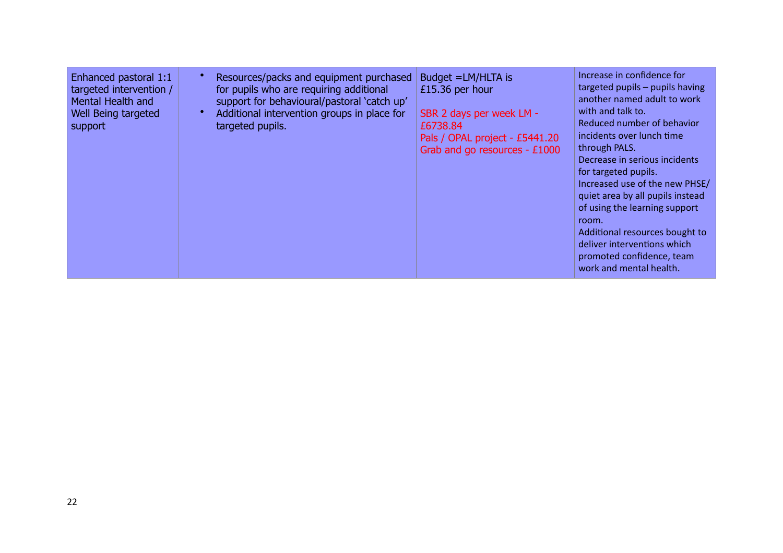| Enhanced pastoral 1:1<br>targeted intervention /<br>Mental Health and<br>Well Being targeted<br>support | Resources/packs and equipment purchased<br>for pupils who are requiring additional<br>support for behavioural/pastoral 'catch up'<br>Additional intervention groups in place for<br>targeted pupils. | Budget = LM/HLTA is<br>£15.36 per hour<br>SBR 2 days per week LM -<br>£6738.84<br>Pals / OPAL project - £5441.20<br>Grab and go resources - £1000 | Increase in confidence for<br>targeted pupils - pupils having<br>another named adult to work<br>with and talk to.<br>Reduced number of behavior<br>incidents over lunch time<br>through PALS.<br>Decrease in serious incidents<br>for targeted pupils.<br>Increased use of the new PHSE/<br>quiet area by all pupils instead<br>of using the learning support<br>room.<br>Additional resources bought to<br>deliver interventions which<br>promoted confidence, team<br>work and mental health. |
|---------------------------------------------------------------------------------------------------------|------------------------------------------------------------------------------------------------------------------------------------------------------------------------------------------------------|---------------------------------------------------------------------------------------------------------------------------------------------------|-------------------------------------------------------------------------------------------------------------------------------------------------------------------------------------------------------------------------------------------------------------------------------------------------------------------------------------------------------------------------------------------------------------------------------------------------------------------------------------------------|
|---------------------------------------------------------------------------------------------------------|------------------------------------------------------------------------------------------------------------------------------------------------------------------------------------------------------|---------------------------------------------------------------------------------------------------------------------------------------------------|-------------------------------------------------------------------------------------------------------------------------------------------------------------------------------------------------------------------------------------------------------------------------------------------------------------------------------------------------------------------------------------------------------------------------------------------------------------------------------------------------|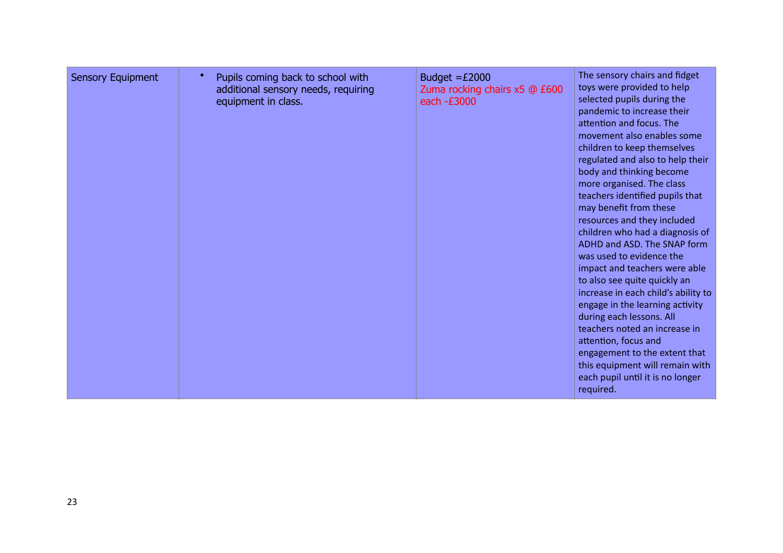| <b>Sensory Equipment</b> | Pupils coming back to school with<br>additional sensory needs, requiring<br>equipment in class. | Budget $=£2000$<br>Zuma rocking chairs x5 @ £600<br>each -£3000 | The sensory chairs and fidget<br>toys were provided to help<br>selected pupils during the<br>pandemic to increase their<br>attention and focus. The<br>movement also enables some<br>children to keep themselves<br>regulated and also to help their<br>body and thinking become<br>more organised. The class<br>teachers identified pupils that<br>may benefit from these<br>resources and they included<br>children who had a diagnosis of<br>ADHD and ASD. The SNAP form<br>was used to evidence the<br>impact and teachers were able<br>to also see quite quickly an<br>increase in each child's ability to<br>engage in the learning activity<br>during each lessons. All<br>teachers noted an increase in<br>attention, focus and<br>engagement to the extent that<br>this equipment will remain with<br>each pupil until it is no longer<br>required. |
|--------------------------|-------------------------------------------------------------------------------------------------|-----------------------------------------------------------------|--------------------------------------------------------------------------------------------------------------------------------------------------------------------------------------------------------------------------------------------------------------------------------------------------------------------------------------------------------------------------------------------------------------------------------------------------------------------------------------------------------------------------------------------------------------------------------------------------------------------------------------------------------------------------------------------------------------------------------------------------------------------------------------------------------------------------------------------------------------|
|--------------------------|-------------------------------------------------------------------------------------------------|-----------------------------------------------------------------|--------------------------------------------------------------------------------------------------------------------------------------------------------------------------------------------------------------------------------------------------------------------------------------------------------------------------------------------------------------------------------------------------------------------------------------------------------------------------------------------------------------------------------------------------------------------------------------------------------------------------------------------------------------------------------------------------------------------------------------------------------------------------------------------------------------------------------------------------------------|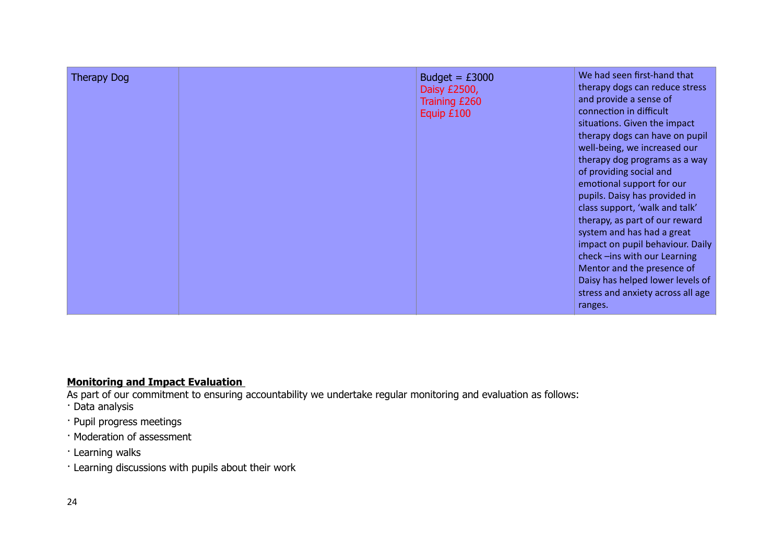| <b>Therapy Dog</b> | Budget = $£3000$<br>Daisy £2500,<br>Training £260<br>Equip £100 | We had seen first-hand that<br>therapy dogs can reduce stress<br>and provide a sense of<br>connection in difficult<br>situations. Given the impact<br>therapy dogs can have on pupil<br>well-being, we increased our<br>therapy dog programs as a way<br>of providing social and<br>emotional support for our<br>pupils. Daisy has provided in<br>class support, 'walk and talk'<br>therapy, as part of our reward<br>system and has had a great<br>impact on pupil behaviour. Daily<br>check-ins with our Learning<br>Mentor and the presence of<br>Daisy has helped lower levels of<br>stress and anxiety across all age<br>ranges. |
|--------------------|-----------------------------------------------------------------|---------------------------------------------------------------------------------------------------------------------------------------------------------------------------------------------------------------------------------------------------------------------------------------------------------------------------------------------------------------------------------------------------------------------------------------------------------------------------------------------------------------------------------------------------------------------------------------------------------------------------------------|
|--------------------|-----------------------------------------------------------------|---------------------------------------------------------------------------------------------------------------------------------------------------------------------------------------------------------------------------------------------------------------------------------------------------------------------------------------------------------------------------------------------------------------------------------------------------------------------------------------------------------------------------------------------------------------------------------------------------------------------------------------|

# **Monitoring and Impact Evaluation**

As part of our commitment to ensuring accountability we undertake regular monitoring and evaluation as follows:

- · Data analysis
- · Pupil progress meetings
- · Moderation of assessment
- · Learning walks
- · Learning discussions with pupils about their work